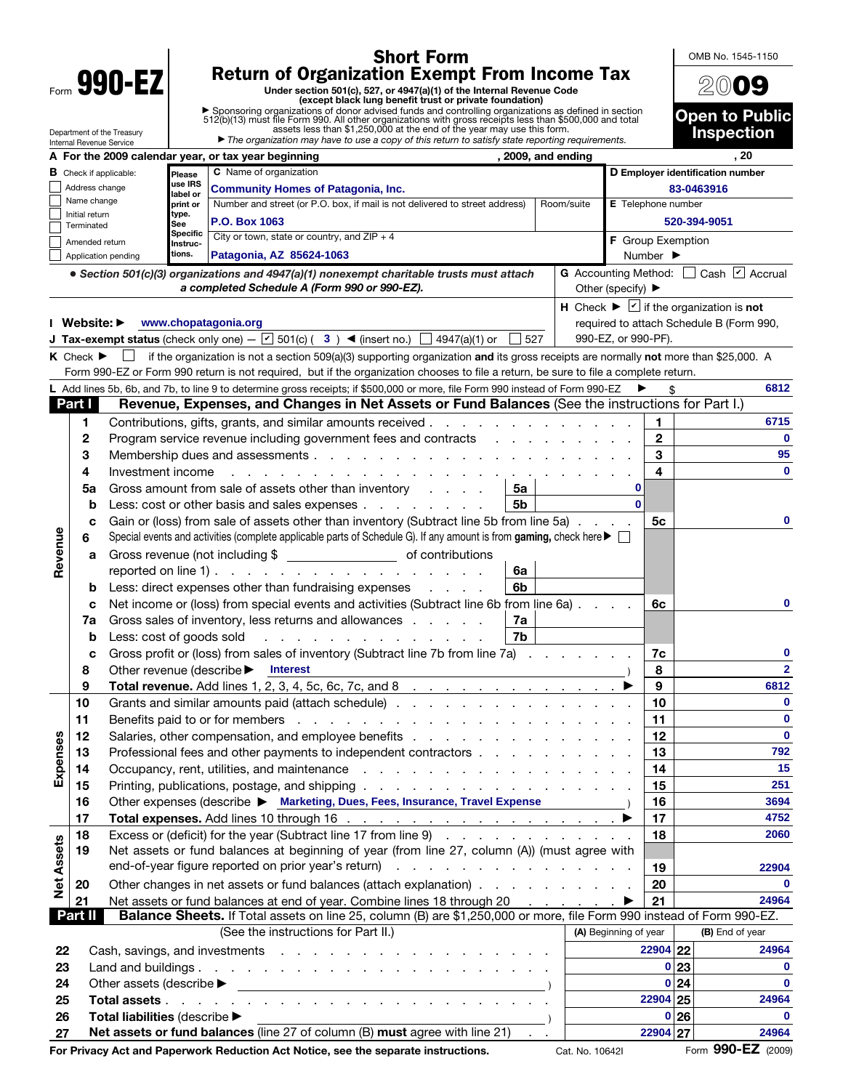| <b>Short Form</b> |                                 |                                                                                                                                                                                                                                |                                                                 |                                                                                                                                                                                                                                |                       |                     | OMB No. 1545-1150            |                                                                                                                                  |  |  |
|-------------------|---------------------------------|--------------------------------------------------------------------------------------------------------------------------------------------------------------------------------------------------------------------------------|-----------------------------------------------------------------|--------------------------------------------------------------------------------------------------------------------------------------------------------------------------------------------------------------------------------|-----------------------|---------------------|------------------------------|----------------------------------------------------------------------------------------------------------------------------------|--|--|
| Form 990-EZ       |                                 |                                                                                                                                                                                                                                |                                                                 | <b>Return of Organization Exempt From Income Tax</b><br>Under section 501(c), 527, or 4947(a)(1) of the Internal Revenue Code                                                                                                  |                       |                     |                              | 2009                                                                                                                             |  |  |
|                   |                                 |                                                                                                                                                                                                                                |                                                                 | (except black lung benefit trust or private foundation)                                                                                                                                                                        |                       |                     |                              |                                                                                                                                  |  |  |
|                   |                                 |                                                                                                                                                                                                                                |                                                                 | ▶ Sponsoring organizations of donor advised funds and controlling organizations as defined in section 512(b)(13) must file Form 990. All other organizations with gross receipts less than \$500,000 and total assets less tha |                       |                     |                              | <b>Open to Public</b>                                                                                                            |  |  |
|                   |                                 | Department of the Treasury<br>Internal Revenue Service                                                                                                                                                                         |                                                                 | The organization may have to use a copy of this return to satisfy state reporting requirements.                                                                                                                                |                       |                     |                              | <b>Inspection</b>                                                                                                                |  |  |
|                   |                                 | A For the 2009 calendar year, or tax year beginning                                                                                                                                                                            |                                                                 | . 20                                                                                                                                                                                                                           |                       |                     |                              |                                                                                                                                  |  |  |
|                   | Address change                  | <b>B</b> Check if applicable:                                                                                                                                                                                                  |                                                                 | D Employer identification number<br>83-0463916                                                                                                                                                                                 |                       |                     |                              |                                                                                                                                  |  |  |
|                   | Name change                     |                                                                                                                                                                                                                                | label or<br>print or                                            | <b>Community Homes of Patagonia, Inc.</b><br>Number and street (or P.O. box, if mail is not delivered to street address)                                                                                                       | Room/suite            |                     | <b>E</b> Telephone number    |                                                                                                                                  |  |  |
|                   | Initial return                  |                                                                                                                                                                                                                                | type.<br>See                                                    | P.O. Box 1063                                                                                                                                                                                                                  |                       |                     | 520-394-9051                 |                                                                                                                                  |  |  |
|                   | Terminated<br>Amended return    |                                                                                                                                                                                                                                | <b>Specific</b><br>Instruc-                                     | City or town, state or country, and $ZIP + 4$                                                                                                                                                                                  |                       |                     | F Group Exemption            |                                                                                                                                  |  |  |
|                   |                                 | Application pending                                                                                                                                                                                                            | tions.                                                          | Patagonia, AZ 85624-1063                                                                                                                                                                                                       |                       |                     | Number $\blacktriangleright$ |                                                                                                                                  |  |  |
|                   |                                 |                                                                                                                                                                                                                                |                                                                 | • Section 501(c)(3) organizations and 4947(a)(1) nonexempt charitable trusts must attach<br>a completed Schedule A (Form 990 or 990-EZ).                                                                                       | Other (specify) ▶     |                     |                              | G Accounting Method: Cash Ø Accrual                                                                                              |  |  |
|                   | Website: ▶                      |                                                                                                                                                                                                                                |                                                                 | www.chopatagonia.org                                                                                                                                                                                                           |                       |                     |                              | H Check $\blacktriangleright \blacktriangleright \square$ if the organization is not<br>required to attach Schedule B (Form 990, |  |  |
|                   |                                 |                                                                                                                                                                                                                                |                                                                 | <b>J Tax-exempt status</b> (check only one) – $\boxed{V}$ 501(c) (3) <b>4</b> (insert no.) $\boxed{\phantom{0}}$ 4947(a)(1) or<br>527                                                                                          | 990-EZ, or 990-PF).   |                     |                              |                                                                                                                                  |  |  |
|                   | $K$ Check $\blacktriangleright$ |                                                                                                                                                                                                                                |                                                                 | if the organization is not a section 509(a)(3) supporting organization and its gross receipts are normally not more than \$25,000. A                                                                                           |                       |                     |                              |                                                                                                                                  |  |  |
|                   |                                 |                                                                                                                                                                                                                                |                                                                 | Form 990-EZ or Form 990 return is not required, but if the organization chooses to file a return, be sure to file a complete return.                                                                                           |                       |                     |                              |                                                                                                                                  |  |  |
|                   |                                 |                                                                                                                                                                                                                                |                                                                 | L Add lines 5b, 6b, and 7b, to line 9 to determine gross receipts; if \$500,000 or more, file Form 990 instead of Form 990-EZ                                                                                                  |                       |                     |                              | 6812                                                                                                                             |  |  |
|                   | Part I                          |                                                                                                                                                                                                                                |                                                                 | Revenue, Expenses, and Changes in Net Assets or Fund Balances (See the instructions for Part I.)                                                                                                                               |                       |                     |                              |                                                                                                                                  |  |  |
|                   | 1                               |                                                                                                                                                                                                                                |                                                                 | Contributions, gifts, grants, and similar amounts received                                                                                                                                                                     |                       | 1                   |                              | 6715                                                                                                                             |  |  |
|                   | 2                               |                                                                                                                                                                                                                                |                                                                 | Program service revenue including government fees and contracts                                                                                                                                                                |                       | $\overline{2}$<br>3 |                              | $\mathbf 0$<br>95                                                                                                                |  |  |
|                   | 3<br>4                          | Investment income                                                                                                                                                                                                              |                                                                 |                                                                                                                                                                                                                                |                       | 4                   |                              | $\mathbf 0$                                                                                                                      |  |  |
|                   | 5a                              |                                                                                                                                                                                                                                |                                                                 | Gross amount from sale of assets other than inventory<br>5a                                                                                                                                                                    |                       | 0                   |                              |                                                                                                                                  |  |  |
|                   | b                               | 5 <sub>b</sub><br>Less: cost or other basis and sales expenses                                                                                                                                                                 |                                                                 |                                                                                                                                                                                                                                |                       |                     |                              |                                                                                                                                  |  |  |
|                   | c                               | Gain or (loss) from sale of assets other than inventory (Subtract line 5b from line 5a)<br>5с                                                                                                                                  |                                                                 |                                                                                                                                                                                                                                |                       |                     |                              |                                                                                                                                  |  |  |
|                   | 6                               | Special events and activities (complete applicable parts of Schedule G). If any amount is from gaming, check here ▶ □                                                                                                          |                                                                 |                                                                                                                                                                                                                                |                       |                     |                              |                                                                                                                                  |  |  |
| Revenue           | а                               |                                                                                                                                                                                                                                |                                                                 |                                                                                                                                                                                                                                |                       |                     |                              |                                                                                                                                  |  |  |
|                   |                                 | reported on line 1) $\ldots$ $\ldots$ $\ldots$ $\ldots$ $\ldots$ $\ldots$ $\ldots$                                                                                                                                             |                                                                 |                                                                                                                                                                                                                                |                       |                     |                              |                                                                                                                                  |  |  |
|                   | b                               |                                                                                                                                                                                                                                |                                                                 | 6b<br>Less: direct expenses other than fundraising expenses                                                                                                                                                                    |                       | 6c                  |                              |                                                                                                                                  |  |  |
|                   | c                               | Net income or (loss) from special events and activities (Subtract line 6b from line 6a)<br>Gross sales of inventory, less returns and allowances<br>7a<br>7b<br>Less: cost of goods sold                                       |                                                                 |                                                                                                                                                                                                                                |                       |                     |                              | 0                                                                                                                                |  |  |
|                   | 7a<br>b                         |                                                                                                                                                                                                                                |                                                                 |                                                                                                                                                                                                                                |                       |                     |                              |                                                                                                                                  |  |  |
|                   | с                               | Gross profit or (loss) from sales of inventory (Subtract line 7b from line 7a)<br>Other revenue (describe <b>Interest</b>                                                                                                      |                                                                 |                                                                                                                                                                                                                                |                       |                     | 7c                           | 0                                                                                                                                |  |  |
|                   | 8                               |                                                                                                                                                                                                                                |                                                                 |                                                                                                                                                                                                                                |                       |                     |                              | $\mathbf{2}$                                                                                                                     |  |  |
|                   | 9                               |                                                                                                                                                                                                                                |                                                                 | Total revenue. Add lines 1, 2, 3, 4, 5c, 6c, 7c, and 8 $\ldots$ $\ldots$ $\ldots$ $\ldots$ $\ldots$                                                                                                                            |                       | 8<br>9              |                              | 6812                                                                                                                             |  |  |
|                   | 10                              |                                                                                                                                                                                                                                |                                                                 | Grants and similar amounts paid (attach schedule)                                                                                                                                                                              |                       | 10                  |                              | $\mathbf{0}$                                                                                                                     |  |  |
|                   | 11                              | Benefits paid to or for members (e.g. by a contract of example 2014) and the set of the set of the set of the set of the set of the set of the set of the set of the set of the set of the set of the set of the set of the se |                                                                 |                                                                                                                                                                                                                                |                       |                     |                              | $\mathbf 0$                                                                                                                      |  |  |
|                   | 12                              |                                                                                                                                                                                                                                |                                                                 |                                                                                                                                                                                                                                |                       |                     |                              | $\mathbf{0}$                                                                                                                     |  |  |
|                   | 13                              | Professional fees and other payments to independent contractors                                                                                                                                                                |                                                                 |                                                                                                                                                                                                                                |                       |                     |                              | 792<br>15                                                                                                                        |  |  |
| Expenses          | 14<br>15                        |                                                                                                                                                                                                                                |                                                                 |                                                                                                                                                                                                                                |                       |                     |                              | 251                                                                                                                              |  |  |
|                   | 16                              | Other expenses (describe ▶ Marketing, Dues, Fees, Insurance, Travel Expense )                                                                                                                                                  |                                                                 |                                                                                                                                                                                                                                |                       |                     |                              | 3694                                                                                                                             |  |  |
|                   | 17                              |                                                                                                                                                                                                                                |                                                                 |                                                                                                                                                                                                                                |                       |                     |                              | 4752                                                                                                                             |  |  |
| <b>Net Assets</b> | 18                              |                                                                                                                                                                                                                                | Excess or (deficit) for the year (Subtract line 17 from line 9) |                                                                                                                                                                                                                                |                       |                     |                              | 2060                                                                                                                             |  |  |
|                   | 19                              |                                                                                                                                                                                                                                |                                                                 | Net assets or fund balances at beginning of year (from line 27, column (A)) (must agree with                                                                                                                                   |                       |                     |                              |                                                                                                                                  |  |  |
|                   |                                 |                                                                                                                                                                                                                                |                                                                 | 19<br>20                                                                                                                                                                                                                       |                       | 22904               |                              |                                                                                                                                  |  |  |
|                   |                                 | Other changes in net assets or fund balances (attach explanation)<br>20                                                                                                                                                        |                                                                 |                                                                                                                                                                                                                                |                       |                     |                              | $\bf{0}$                                                                                                                         |  |  |
|                   | 21<br>Part II                   |                                                                                                                                                                                                                                |                                                                 | Net assets or fund balances at end of year. Combine lines 18 through 20 ▶<br>Balance Sheets. If Total assets on line 25, column (B) are \$1,250,000 or more, file Form 990 instead of Form 990-EZ.                             |                       | 21                  |                              | 24964                                                                                                                            |  |  |
|                   |                                 |                                                                                                                                                                                                                                |                                                                 | (See the instructions for Part II.)                                                                                                                                                                                            | (A) Beginning of year |                     |                              | (B) End of year                                                                                                                  |  |  |
| 22                |                                 |                                                                                                                                                                                                                                |                                                                 |                                                                                                                                                                                                                                |                       |                     | 22904 22                     | 24964                                                                                                                            |  |  |
| 23                |                                 |                                                                                                                                                                                                                                |                                                                 |                                                                                                                                                                                                                                |                       |                     | 0 23                         | 0                                                                                                                                |  |  |
|                   | 0 24<br>24                      |                                                                                                                                                                                                                                |                                                                 |                                                                                                                                                                                                                                |                       |                     |                              | 0                                                                                                                                |  |  |
| 25                |                                 |                                                                                                                                                                                                                                |                                                                 |                                                                                                                                                                                                                                |                       | 22904 25            |                              | 24964                                                                                                                            |  |  |
| 26                |                                 | Total liabilities (describe $\blacktriangleright$                                                                                                                                                                              |                                                                 |                                                                                                                                                                                                                                |                       |                     | 0 26                         | $\bf{0}$                                                                                                                         |  |  |
| 27                |                                 |                                                                                                                                                                                                                                |                                                                 | Net assets or fund balances (line 27 of column (B) must agree with line 21) .                                                                                                                                                  |                       | 22904 27            |                              | 24964                                                                                                                            |  |  |

**27 Net assets or fund balances** (line 27 of column (B) must agree with line 21) . . **22904 27 22904 27 124964**<br>For Privacy Act and Paperwork Reduction Act Notice, see the separate instructions. Cat. No. 10642l Form 990-**For Privacy Act and Paperwork Reduction Act Notice, see the separate instructions.** Cat. No. 10642I Cat. No. 10642I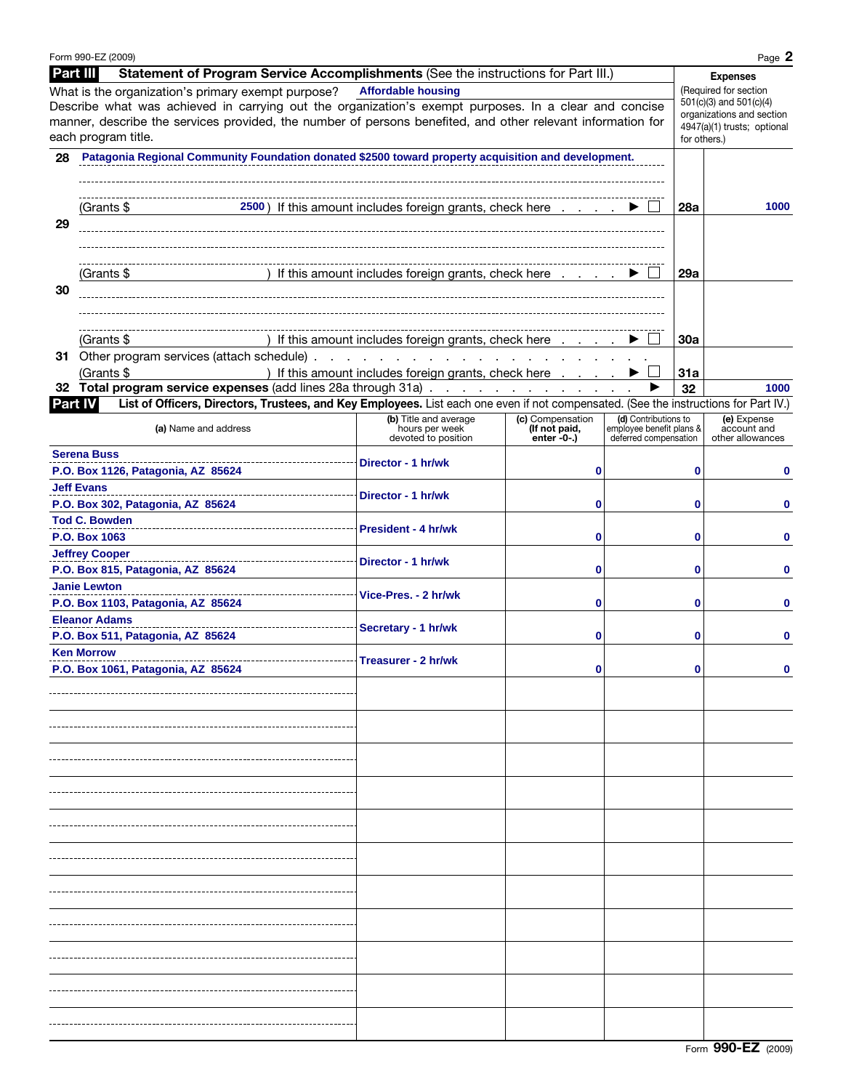|          | Form 990-EZ (2009)                                                                                                                                                                                                                                                                                |                                                                            |                                 |                                                   |              | Page 2                                                                                                       |
|----------|---------------------------------------------------------------------------------------------------------------------------------------------------------------------------------------------------------------------------------------------------------------------------------------------------|----------------------------------------------------------------------------|---------------------------------|---------------------------------------------------|--------------|--------------------------------------------------------------------------------------------------------------|
| Part III | Statement of Program Service Accomplishments (See the instructions for Part III.)                                                                                                                                                                                                                 |                                                                            |                                 |                                                   |              | <b>Expenses</b>                                                                                              |
|          | What is the organization's primary exempt purpose?<br>Describe what was achieved in carrying out the organization's exempt purposes. In a clear and concise<br>manner, describe the services provided, the number of persons benefited, and other relevant information for<br>each program title. | <b>Affordable housing</b>                                                  |                                 |                                                   | for others.) | (Required for section<br>501(c)(3) and 501(c)(4)<br>organizations and section<br>4947(a)(1) trusts; optional |
|          | 28 Patagonia Regional Community Foundation donated \$2500 toward property acquisition and development.                                                                                                                                                                                            |                                                                            |                                 |                                                   |              |                                                                                                              |
| 29       | 2500) If this amount includes foreign grants, check here $\ldots$ . $\blacktriangleright$<br>(Grants \$                                                                                                                                                                                           |                                                                            |                                 | <b>28a</b>                                        | 1000         |                                                                                                              |
| 30       | ) If this amount includes foreign grants, check here $\ldots$ . $\blacktriangleright$<br>(Grants \$                                                                                                                                                                                               |                                                                            |                                 |                                                   | 29a          |                                                                                                              |
|          | (Grants \$                                                                                                                                                                                                                                                                                        | If this amount includes foreign grants, check here $\ldots$ $\blacksquare$ |                                 |                                                   | 30a          |                                                                                                              |
|          | 31 Other program services (attach schedule).                                                                                                                                                                                                                                                      |                                                                            |                                 |                                                   |              |                                                                                                              |
|          | (Grants \$                                                                                                                                                                                                                                                                                        | ) If this amount includes foreign grants, check here                       |                                 |                                                   | 31a          |                                                                                                              |
|          | 32 Total program service expenses (add lines 28a through 31a)                                                                                                                                                                                                                                     |                                                                            |                                 | ▶                                                 | 32           | 1000                                                                                                         |
|          | List of Officers, Directors, Trustees, and Key Employees. List each one even if not compensated. (See the instructions for Part IV.)<br>Part IV                                                                                                                                                   | (b) Title and average                                                      | (c) Compensation                | (d) Contributions to                              |              | (e) Expense                                                                                                  |
|          | (a) Name and address                                                                                                                                                                                                                                                                              | hours per week<br>devoted to position                                      | (If not paid,<br>enter $-0$ -.) | employee benefit plans &<br>deferred compensation |              | account and<br>other allowances                                                                              |
|          | <b>Serena Buss</b><br>----------------------------<br>P.O. Box 1126, Patagonia, AZ 85624                                                                                                                                                                                                          | Director - 1 hr/wk                                                         | 0                               |                                                   | 0            | 0                                                                                                            |
|          | <b>Jeff Evans</b><br>-----------------------------<br>P.O. Box 302, Patagonia, AZ 85624                                                                                                                                                                                                           | Director - 1 hr/wk                                                         | 0                               |                                                   | 0            |                                                                                                              |
|          | <b>Tod C. Bowden</b><br>P.O. Box 1063                                                                                                                                                                                                                                                             | <b>President - 4 hr/wk</b>                                                 | 0                               |                                                   | 0            | 0                                                                                                            |
|          | <b>Jeffrey Cooper</b><br>-----------------------<br>P.O. Box 815, Patagonia, AZ 85624                                                                                                                                                                                                             | Director - 1 hr/wk                                                         | 0                               |                                                   | 0            | 0                                                                                                            |
|          | <b>Janie Lewton</b><br>P.O. Box 1103, Patagonia, AZ 85624                                                                                                                                                                                                                                         | Vice-Pres. - 2 hr/wk                                                       | 0                               |                                                   | 0            | 0                                                                                                            |
|          | <b>Eleanor Adams</b><br>---------------------------<br>P.O. Box 511, Patagonia, AZ 85624                                                                                                                                                                                                          | Secretary - 1 hr/wk                                                        | 0                               |                                                   | 0            | 0                                                                                                            |
|          | <b>Ken Morrow</b><br>P.O. Box 1061, Patagonia, AZ 85624                                                                                                                                                                                                                                           | Treasurer - 2 hr/wk                                                        |                                 |                                                   |              |                                                                                                              |
|          |                                                                                                                                                                                                                                                                                                   |                                                                            |                                 |                                                   |              |                                                                                                              |
|          |                                                                                                                                                                                                                                                                                                   |                                                                            |                                 |                                                   |              |                                                                                                              |
|          |                                                                                                                                                                                                                                                                                                   |                                                                            |                                 |                                                   |              |                                                                                                              |
|          |                                                                                                                                                                                                                                                                                                   |                                                                            |                                 |                                                   |              |                                                                                                              |
|          |                                                                                                                                                                                                                                                                                                   |                                                                            |                                 |                                                   |              |                                                                                                              |
|          |                                                                                                                                                                                                                                                                                                   |                                                                            |                                 |                                                   |              |                                                                                                              |
|          |                                                                                                                                                                                                                                                                                                   |                                                                            |                                 |                                                   |              |                                                                                                              |
|          |                                                                                                                                                                                                                                                                                                   |                                                                            |                                 |                                                   |              |                                                                                                              |
|          |                                                                                                                                                                                                                                                                                                   |                                                                            |                                 |                                                   |              |                                                                                                              |
|          |                                                                                                                                                                                                                                                                                                   |                                                                            |                                 |                                                   |              |                                                                                                              |
|          |                                                                                                                                                                                                                                                                                                   |                                                                            |                                 |                                                   |              |                                                                                                              |
|          |                                                                                                                                                                                                                                                                                                   |                                                                            |                                 |                                                   |              |                                                                                                              |

Form **990-EZ** (2009)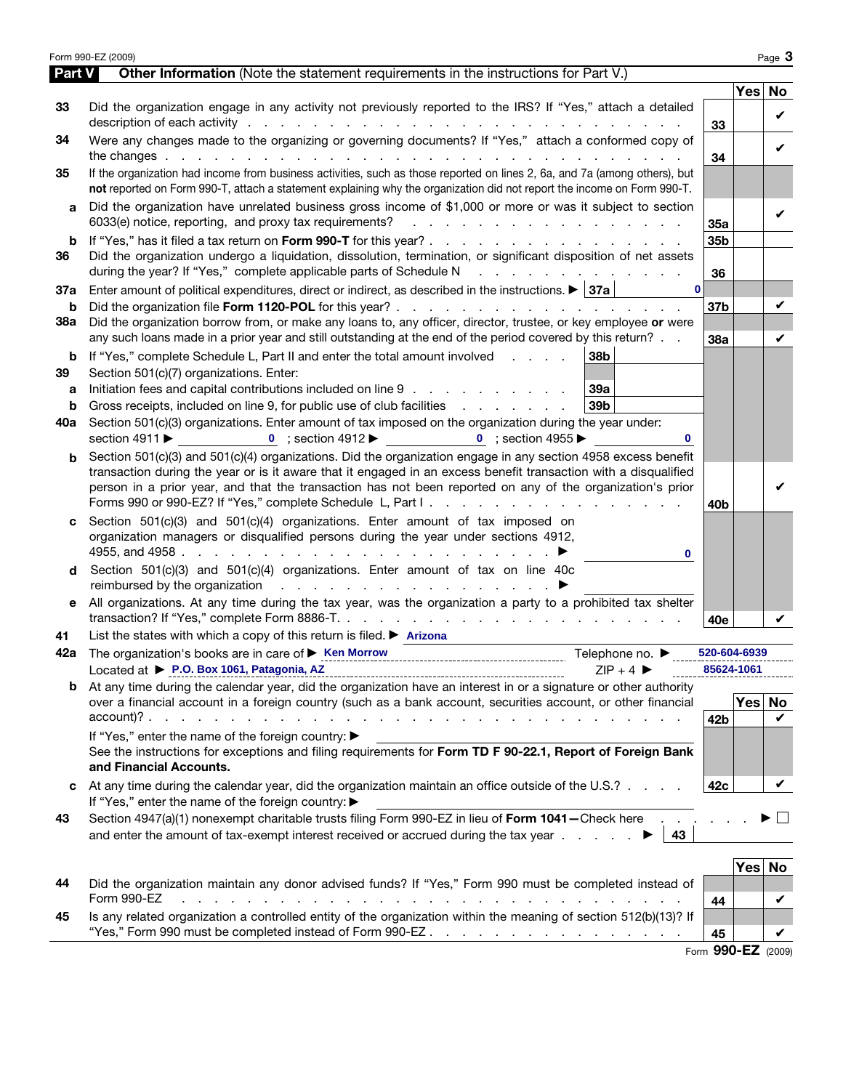| Part V   | Form 990-EZ (2009)<br>Other Information (Note the statement requirements in the instructions for Part V.)                                                                                                                                                                                                                                               |                 |        | Page 3 |
|----------|---------------------------------------------------------------------------------------------------------------------------------------------------------------------------------------------------------------------------------------------------------------------------------------------------------------------------------------------------------|-----------------|--------|--------|
|          |                                                                                                                                                                                                                                                                                                                                                         |                 | Yes No |        |
| 33       | Did the organization engage in any activity not previously reported to the IRS? If "Yes," attach a detailed                                                                                                                                                                                                                                             |                 |        |        |
|          |                                                                                                                                                                                                                                                                                                                                                         | 33              |        | V      |
| 34       | Were any changes made to the organizing or governing documents? If "Yes," attach a conformed copy of                                                                                                                                                                                                                                                    |                 |        | V      |
|          |                                                                                                                                                                                                                                                                                                                                                         | 34              |        |        |
| 35       | If the organization had income from business activities, such as those reported on lines 2, 6a, and 7a (among others), but                                                                                                                                                                                                                              |                 |        |        |
|          | not reported on Form 990-T, attach a statement explaining why the organization did not report the income on Form 990-T.                                                                                                                                                                                                                                 |                 |        |        |
| a        | Did the organization have unrelated business gross income of \$1,000 or more or was it subject to section                                                                                                                                                                                                                                               |                 |        | ✓      |
|          | 6033(e) notice, reporting, and proxy tax requirements?<br>and the contract of the contract of the contract of the                                                                                                                                                                                                                                       | 35a             |        |        |
| b<br>36  | Did the organization undergo a liquidation, dissolution, termination, or significant disposition of net assets                                                                                                                                                                                                                                          | 35b             |        |        |
|          | during the year? If "Yes," complete applicable parts of Schedule N                                                                                                                                                                                                                                                                                      | 36              |        |        |
| 37a      | $\mathbf{0}$<br>Enter amount of political expenditures, direct or indirect, as described in the instructions. $\blacktriangleright$ 37a                                                                                                                                                                                                                 |                 |        |        |
| b        |                                                                                                                                                                                                                                                                                                                                                         | 37b             |        | V      |
| 38a      | Did the organization borrow from, or make any loans to, any officer, director, trustee, or key employee or were                                                                                                                                                                                                                                         |                 |        |        |
|          | any such loans made in a prior year and still outstanding at the end of the period covered by this return?                                                                                                                                                                                                                                              | 38a             |        | V      |
| b        | If "Yes," complete Schedule L, Part II and enter the total amount involved<br>38 <sub>b</sub>                                                                                                                                                                                                                                                           |                 |        |        |
| 39       | Section 501(c)(7) organizations. Enter:                                                                                                                                                                                                                                                                                                                 |                 |        |        |
| a        | Initiation fees and capital contributions included on line 9<br>39a                                                                                                                                                                                                                                                                                     |                 |        |        |
| b        | Gross receipts, included on line 9, for public use of club facilities<br>39b                                                                                                                                                                                                                                                                            |                 |        |        |
| 40a      | Section 501(c)(3) organizations. Enter amount of tax imposed on the organization during the year under:                                                                                                                                                                                                                                                 |                 |        |        |
|          | 0 ; section 4912 $\blacktriangleright$ 0 ; section 4955 $\blacktriangleright$<br>section 4911 ▶                                                                                                                                                                                                                                                         |                 |        |        |
| b        | Section 501(c)(3) and 501(c)(4) organizations. Did the organization engage in any section 4958 excess benefit                                                                                                                                                                                                                                           |                 |        |        |
|          | transaction during the year or is it aware that it engaged in an excess benefit transaction with a disqualified<br>person in a prior year, and that the transaction has not been reported on any of the organization's prior                                                                                                                            |                 |        |        |
|          |                                                                                                                                                                                                                                                                                                                                                         | 40b             |        |        |
| c        | Section 501(c)(3) and 501(c)(4) organizations. Enter amount of tax imposed on                                                                                                                                                                                                                                                                           |                 |        |        |
|          | organization managers or disqualified persons during the year under sections 4912,                                                                                                                                                                                                                                                                      |                 |        |        |
|          | 0                                                                                                                                                                                                                                                                                                                                                       |                 |        |        |
| d        | Section 501(c)(3) and 501(c)(4) organizations. Enter amount of tax on line 40c                                                                                                                                                                                                                                                                          |                 |        |        |
|          |                                                                                                                                                                                                                                                                                                                                                         |                 |        |        |
| е        | All organizations. At any time during the tax year, was the organization a party to a prohibited tax shelter                                                                                                                                                                                                                                            |                 |        |        |
|          |                                                                                                                                                                                                                                                                                                                                                         | 40e             |        |        |
| 41       | List the states with which a copy of this return is filed. $\triangleright$ Arizona                                                                                                                                                                                                                                                                     |                 |        |        |
| 42a      | Telephone no. $\blacktriangleright$                                                                                                                                                                                                                                                                                                                     | 520-604-6939    |        |        |
|          | Located at ▶ P.O. Box 1061, Patagonia, AZ<br>$ZIP + 4$                                                                                                                                                                                                                                                                                                  | 85624-1061      |        |        |
| b        | At any time during the calendar year, did the organization have an interest in or a signature or other authority<br>over a financial account in a foreign country (such as a bank account, securities account, or other financial                                                                                                                       |                 | Yes No |        |
|          |                                                                                                                                                                                                                                                                                                                                                         | 42 <sub>b</sub> |        | V      |
|          | If "Yes," enter the name of the foreign country: ▶                                                                                                                                                                                                                                                                                                      |                 |        |        |
|          | See the instructions for exceptions and filing requirements for Form TD F 90-22.1, Report of Foreign Bank                                                                                                                                                                                                                                               |                 |        |        |
|          | and Financial Accounts.                                                                                                                                                                                                                                                                                                                                 |                 |        |        |
| c        | At any time during the calendar year, did the organization maintain an office outside of the U.S.?                                                                                                                                                                                                                                                      | 42c             |        | V      |
|          | If "Yes," enter the name of the foreign country: ▶                                                                                                                                                                                                                                                                                                      |                 |        |        |
|          | Section 4947(a)(1) nonexempt charitable trusts filing Form 990-EZ in lieu of Form 1041-Check here                                                                                                                                                                                                                                                       |                 |        |        |
| 43       |                                                                                                                                                                                                                                                                                                                                                         |                 |        |        |
|          | and enter the amount of tax-exempt interest received or accrued during the tax year $\ldots$ $\ldots$<br>43                                                                                                                                                                                                                                             |                 |        |        |
|          |                                                                                                                                                                                                                                                                                                                                                         |                 |        |        |
|          |                                                                                                                                                                                                                                                                                                                                                         |                 | Yes No |        |
|          | Did the organization maintain any donor advised funds? If "Yes," Form 990 must be completed instead of<br>Form 990-EZ<br>and the company of the company of the company of the company of the company of the company of the company of the company of the company of the company of the company of the company of the company of the company of the comp | 44              |        |        |
| 44<br>45 | Is any related organization a controlled entity of the organization within the meaning of section 512(b)(13)? If                                                                                                                                                                                                                                        |                 |        | V      |